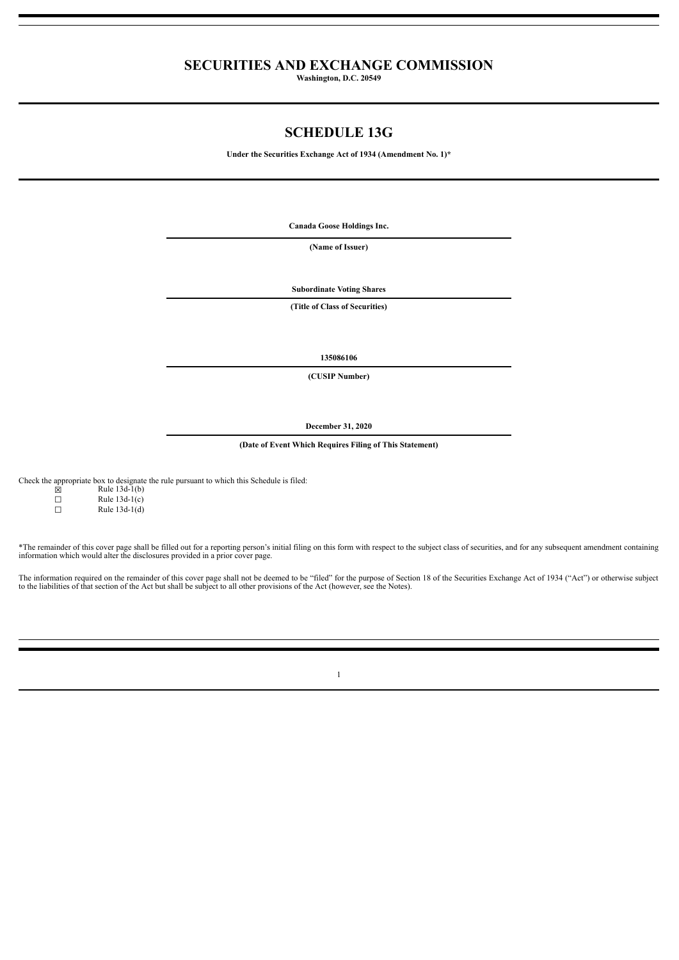## **SECURITIES AND EXCHANGE COMMISSION**

**Washington, D.C. 20549**

## **SCHEDULE 13G**

**Under the Securities Exchange Act of 1934 (Amendment No. 1)\***

**Canada Goose Holdings Inc.**

**(Name of Issuer)**

**Subordinate Voting Shares**

**(Title of Class of Securities)**

**135086106**

**(CUSIP Number)**

**December 31, 2020**

**(Date of Event Which Requires Filing of This Statement)**

Check the appropriate box to designate the rule pursuant to which this Schedule is filed:

| X | Rule $13d-1(b)$ |
|---|-----------------|
| П | Rule $13d-1(c)$ |
| п | Rule $13d-1(d)$ |

\*The remainder of this cover page shall be filled out for a reporting person's initial filing on this form with respect to the subject class of securities, and for any subsequent amendment containing information which would alter the disclosures provided in a prior cover page.

The information required on the remainder of this cover page shall not be deemed to be "filed" for the purpose of Section 18 of the Securities Exchange Act of 1934 ("Act") or otherwise subject<br>to the liabilities of that se

1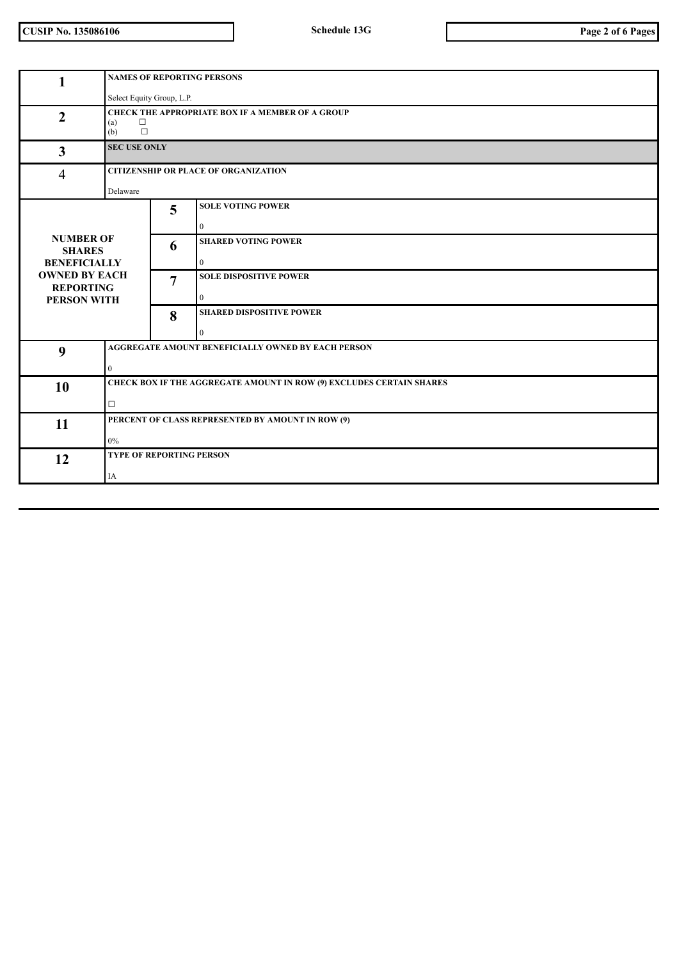**CUSIP No. 135086106 Schedule 13G Page 2 of 6 Pages**

| 1                                                              |                                                         | <b>NAMES OF REPORTING PERSONS</b>                                           |  |  |  |
|----------------------------------------------------------------|---------------------------------------------------------|-----------------------------------------------------------------------------|--|--|--|
|                                                                |                                                         | Select Equity Group, L.P.                                                   |  |  |  |
| $\overline{2}$                                                 | $\Box$<br>(a)<br>$\Box$<br>(b)                          | <b>CHECK THE APPROPRIATE BOX IF A MEMBER OF A GROUP</b>                     |  |  |  |
| $\overline{3}$                                                 | <b>SEC USE ONLY</b>                                     |                                                                             |  |  |  |
| $\overline{4}$                                                 | <b>CITIZENSHIP OR PLACE OF ORGANIZATION</b><br>Delaware |                                                                             |  |  |  |
|                                                                |                                                         | <b>SOLE VOTING POWER</b>                                                    |  |  |  |
|                                                                | 5                                                       | $\mathbf{0}$                                                                |  |  |  |
| <b>NUMBER OF</b><br><b>SHARES</b><br><b>BENEFICIALLY</b>       | 6                                                       | <b>SHARED VOTING POWER</b><br>$\theta$                                      |  |  |  |
| <b>OWNED BY EACH</b><br><b>REPORTING</b><br><b>PERSON WITH</b> | $\overline{7}$                                          | <b>SOLE DISPOSITIVE POWER</b><br>$\mathbf{0}$                               |  |  |  |
|                                                                | 8                                                       | <b>SHARED DISPOSITIVE POWER</b><br>0                                        |  |  |  |
| 9                                                              |                                                         | AGGREGATE AMOUNT BENEFICIALLY OWNED BY EACH PERSON                          |  |  |  |
|                                                                | $\overline{0}$                                          |                                                                             |  |  |  |
| 10                                                             |                                                         | <b>CHECK BOX IF THE AGGREGATE AMOUNT IN ROW (9) EXCLUDES CERTAIN SHARES</b> |  |  |  |
|                                                                | $\Box$                                                  |                                                                             |  |  |  |
| 11                                                             |                                                         | PERCENT OF CLASS REPRESENTED BY AMOUNT IN ROW (9)                           |  |  |  |
|                                                                | $0\%$                                                   |                                                                             |  |  |  |
| 12                                                             |                                                         | <b>TYPE OF REPORTING PERSON</b>                                             |  |  |  |
|                                                                | IA                                                      |                                                                             |  |  |  |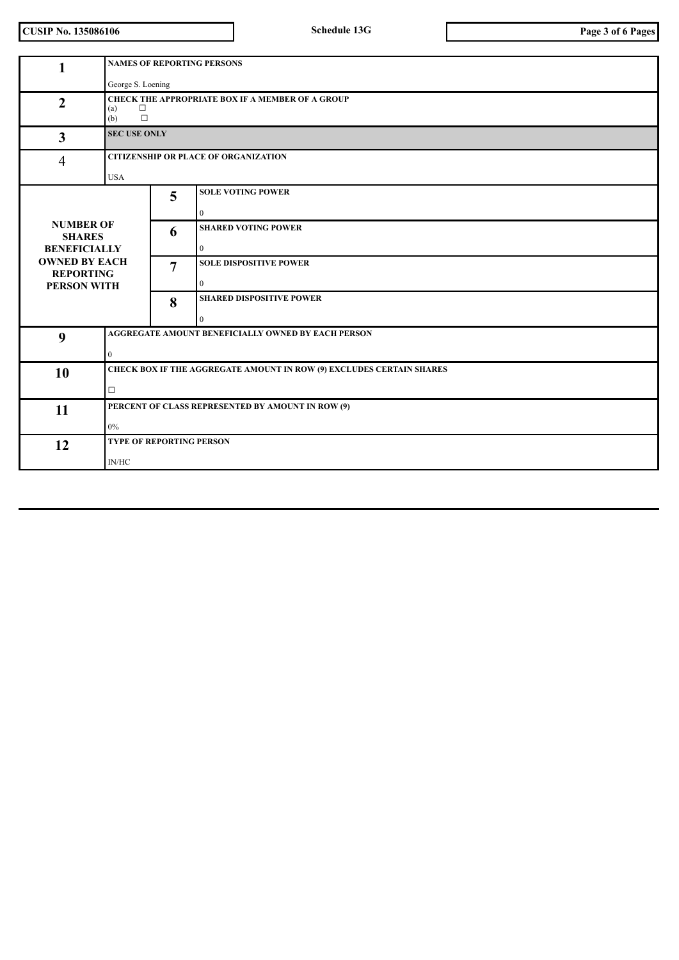**CUSIP No. 135086106 Schedule 13G Page 3 of 6 Pages**

| 1                                                                                                                          | <b>NAMES OF REPORTING PERSONS</b>                                                         |   |                                                    |  |
|----------------------------------------------------------------------------------------------------------------------------|-------------------------------------------------------------------------------------------|---|----------------------------------------------------|--|
|                                                                                                                            | George S. Loening                                                                         |   |                                                    |  |
| $\overline{2}$                                                                                                             | <b>CHECK THE APPROPRIATE BOX IF A MEMBER OF A GROUP</b><br>$\Box$<br>(a)<br>$\Box$<br>(b) |   |                                                    |  |
| $\overline{\mathbf{3}}$                                                                                                    | <b>SEC USE ONLY</b>                                                                       |   |                                                    |  |
| 4                                                                                                                          | <b>CITIZENSHIP OR PLACE OF ORGANIZATION</b>                                               |   |                                                    |  |
|                                                                                                                            | <b>USA</b>                                                                                |   |                                                    |  |
|                                                                                                                            |                                                                                           | 5 | <b>SOLE VOTING POWER</b>                           |  |
|                                                                                                                            |                                                                                           |   | $\mathbf{0}$                                       |  |
| <b>NUMBER OF</b><br><b>SHARES</b><br><b>BENEFICIALLY</b><br><b>OWNED BY EACH</b><br><b>REPORTING</b><br><b>PERSON WITH</b> |                                                                                           | 6 | <b>SHARED VOTING POWER</b>                         |  |
|                                                                                                                            |                                                                                           |   | $\overline{0}$                                     |  |
|                                                                                                                            |                                                                                           | 7 | <b>SOLE DISPOSITIVE POWER</b>                      |  |
|                                                                                                                            |                                                                                           |   | $\overline{0}$                                     |  |
|                                                                                                                            |                                                                                           | 8 | <b>SHARED DISPOSITIVE POWER</b>                    |  |
|                                                                                                                            |                                                                                           |   | $\Omega$                                           |  |
| 9                                                                                                                          |                                                                                           |   | AGGREGATE AMOUNT BENEFICIALLY OWNED BY EACH PERSON |  |
|                                                                                                                            | $\overline{0}$                                                                            |   |                                                    |  |
| 10                                                                                                                         | CHECK BOX IF THE AGGREGATE AMOUNT IN ROW (9) EXCLUDES CERTAIN SHARES                      |   |                                                    |  |
|                                                                                                                            | $\Box$                                                                                    |   |                                                    |  |
| 11                                                                                                                         | PERCENT OF CLASS REPRESENTED BY AMOUNT IN ROW (9)<br>$0\%$                                |   |                                                    |  |
|                                                                                                                            |                                                                                           |   |                                                    |  |
| 12                                                                                                                         | TYPE OF REPORTING PERSON                                                                  |   |                                                    |  |
|                                                                                                                            | $\text{IN/HC}{}$                                                                          |   |                                                    |  |
|                                                                                                                            |                                                                                           |   |                                                    |  |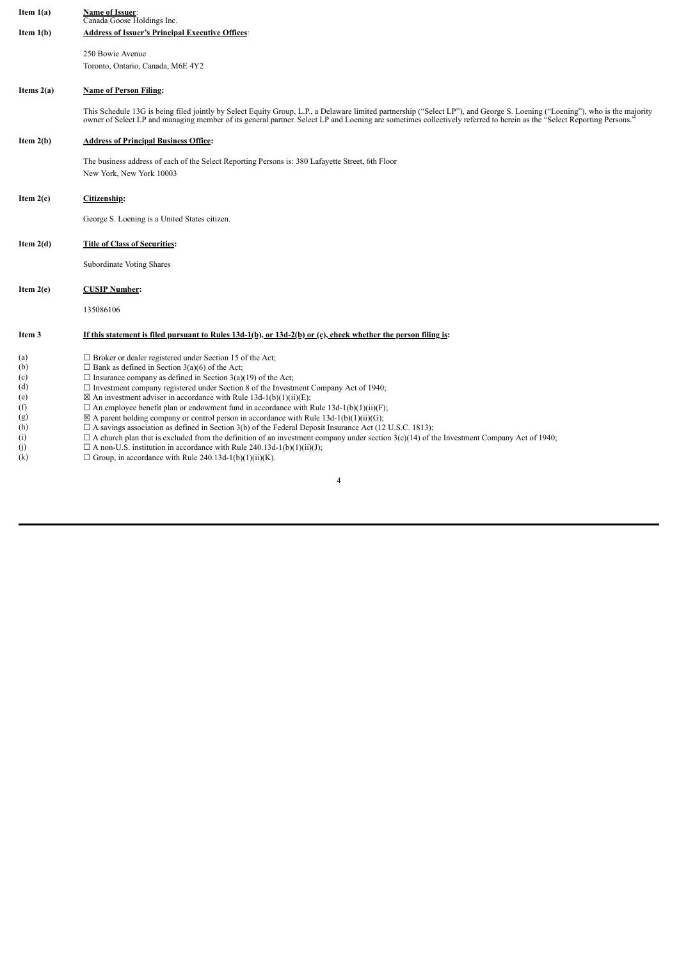| Item $1(a)$  | Name of Issuer:<br>Canada Goose Holdings Inc.                                                                                                                                                                                                                                                                                                        |
|--------------|------------------------------------------------------------------------------------------------------------------------------------------------------------------------------------------------------------------------------------------------------------------------------------------------------------------------------------------------------|
| Item $1(b)$  | <b>Address of Issuer's Principal Executive Offices:</b>                                                                                                                                                                                                                                                                                              |
|              | 250 Bowie Avenue                                                                                                                                                                                                                                                                                                                                     |
|              | Toronto, Ontario, Canada, M6E 4Y2                                                                                                                                                                                                                                                                                                                    |
| Items $2(a)$ | <b>Name of Person Filing:</b>                                                                                                                                                                                                                                                                                                                        |
|              | This Schedule 13G is being filed jointly by Select Equity Group, L.P., a Delaware limited partnership ("Select LP"), and George S. Loening ("Loening"), who is the majority<br>owner of Select LP and managing member of its general partner. Select LP and Loening are sometimes collectively referred to herein as the "Select Reporting Persons." |
| Item $2(b)$  | <b>Address of Principal Business Office:</b>                                                                                                                                                                                                                                                                                                         |
|              | The business address of each of the Select Reporting Persons is: 380 Lafayette Street, 6th Floor                                                                                                                                                                                                                                                     |
|              | New York, New York 10003                                                                                                                                                                                                                                                                                                                             |
| Item $2(c)$  | Citizenship:                                                                                                                                                                                                                                                                                                                                         |
|              | George S. Loening is a United States citizen.                                                                                                                                                                                                                                                                                                        |
| Item $2(d)$  | <b>Title of Class of Securities:</b>                                                                                                                                                                                                                                                                                                                 |
|              | <b>Subordinate Voting Shares</b>                                                                                                                                                                                                                                                                                                                     |
| Item $2(e)$  | <b>CUSIP Number:</b>                                                                                                                                                                                                                                                                                                                                 |
|              | 135086106                                                                                                                                                                                                                                                                                                                                            |
|              |                                                                                                                                                                                                                                                                                                                                                      |
| Item 3       | If this statement is filed pursuant to Rules $13d-1(b)$ , or $13d-2(b)$ or (c), check whether the person filing is:                                                                                                                                                                                                                                  |
| (a)          | $\Box$ Broker or dealer registered under Section 15 of the Act;                                                                                                                                                                                                                                                                                      |
| (b)          | $\Box$ Bank as defined in Section 3(a)(6) of the Act;                                                                                                                                                                                                                                                                                                |
| (c)          | $\Box$ Insurance company as defined in Section 3(a)(19) of the Act;                                                                                                                                                                                                                                                                                  |
| (d)<br>(e)   | $\Box$ Investment company registered under Section 8 of the Investment Company Act of 1940;<br>$\boxtimes$ An investment adviser in accordance with Rule 13d-1(b)(1)(ii)(E);                                                                                                                                                                         |
| (f)          | $\Box$ An employee benefit plan or endowment fund in accordance with Rule 13d-1(b)(1)(ii)(F);                                                                                                                                                                                                                                                        |
| (g)          | $\boxtimes$ A parent holding company or control person in accordance with Rule 13d-1(b)(1)(ii)(G);                                                                                                                                                                                                                                                   |
| (h)          | $\Box$ A savings association as defined in Section 3(b) of the Federal Deposit Insurance Act (12 U.S.C. 1813);                                                                                                                                                                                                                                       |
| (i)          | $\Box$ A church plan that is excluded from the definition of an investment company under section 3(c)(14) of the Investment Company Act of 1940;                                                                                                                                                                                                     |
| (j)          | $\Box$ A non-U.S. institution in accordance with Rule 240.13d-1(b)(1)(ii)(J);                                                                                                                                                                                                                                                                        |

(k)  $\Box$  Group, in accordance with Rule 240.13d-1(b)(1)(ii)(K).

4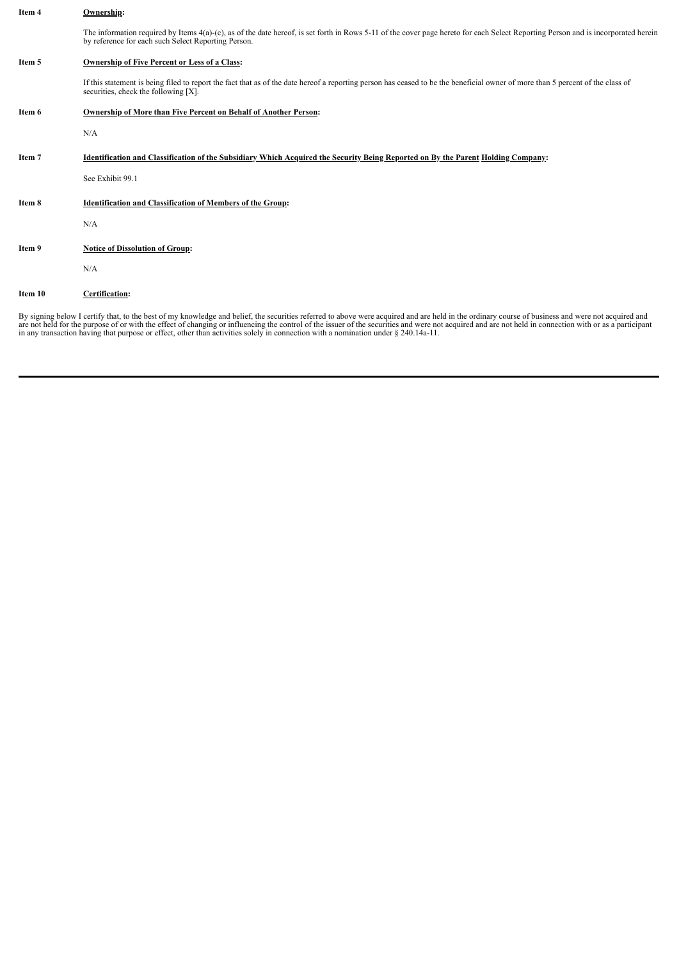| Item 4  | Ownership:                                                                                                                                                                                                                               |
|---------|------------------------------------------------------------------------------------------------------------------------------------------------------------------------------------------------------------------------------------------|
|         | The information required by Items 4(a)-(c), as of the date hereof, is set forth in Rows 5-11 of the cover page hereto for each Select Reporting Person and is incorporated herein<br>by reference for each such Select Reporting Person. |
| Item 5  | Ownership of Five Percent or Less of a Class:                                                                                                                                                                                            |
|         | If this statement is being filed to report the fact that as of the date hereof a reporting person has ceased to be the beneficial owner of more than 5 percent of the class of<br>securities, check the following $[X]$ .                |
| Item 6  | Ownership of More than Five Percent on Behalf of Another Person:                                                                                                                                                                         |
|         | N/A                                                                                                                                                                                                                                      |
| Item 7  | Identification and Classification of the Subsidiary Which Acquired the Security Being Reported on By the Parent Holding Company:                                                                                                         |
|         | See Exhibit 99.1                                                                                                                                                                                                                         |
| Item 8  | <b>Identification and Classification of Members of the Group:</b>                                                                                                                                                                        |
|         | N/A                                                                                                                                                                                                                                      |
| Item 9  | <b>Notice of Dissolution of Group:</b>                                                                                                                                                                                                   |
|         | N/A                                                                                                                                                                                                                                      |
| Item 10 | Certification:                                                                                                                                                                                                                           |

By signing below I certify that, to the best of my knowledge and belief, the securities referred to above were acquired and are held in the ordinary course of business and were not acquired and are not held for the purpose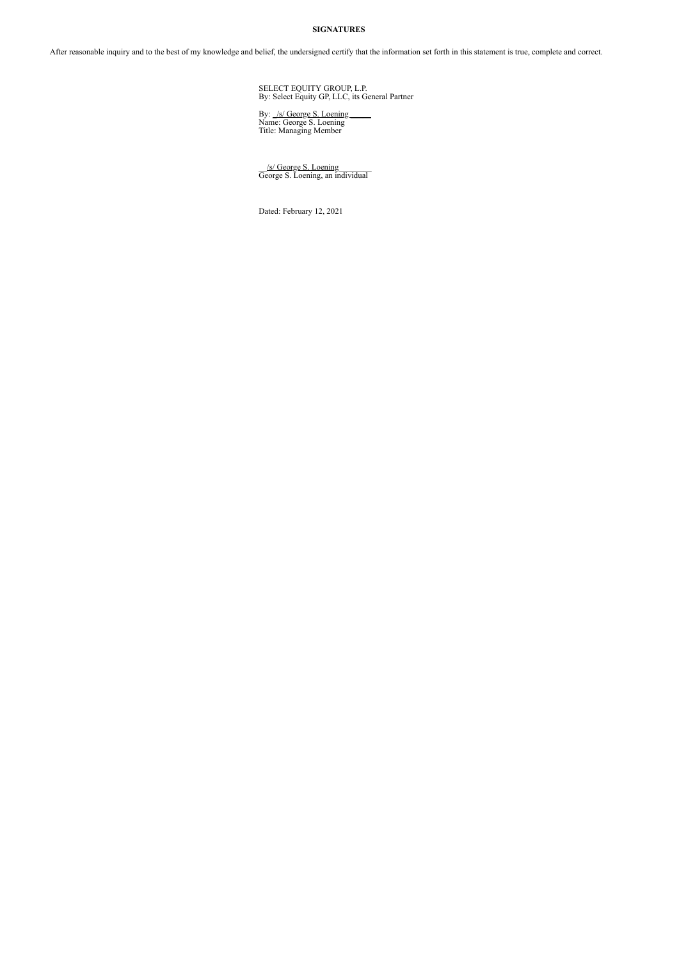## **SIGNATURES**

After reasonable inquiry and to the best of my knowledge and belief, the undersigned certify that the information set forth in this statement is true, complete and correct.

SELECT EQUITY GROUP, L.P. By: Select Equity GP, LLC, its General Partner

By: <u>\_/s/ George S. Loening</u><br>Name: George S. Loening<br>Title: Managing Member

\_\_/s/ George S. Loening\_\_\_\_\_\_\_\_ George S. Loening, an individual

Dated: February 12, 2021